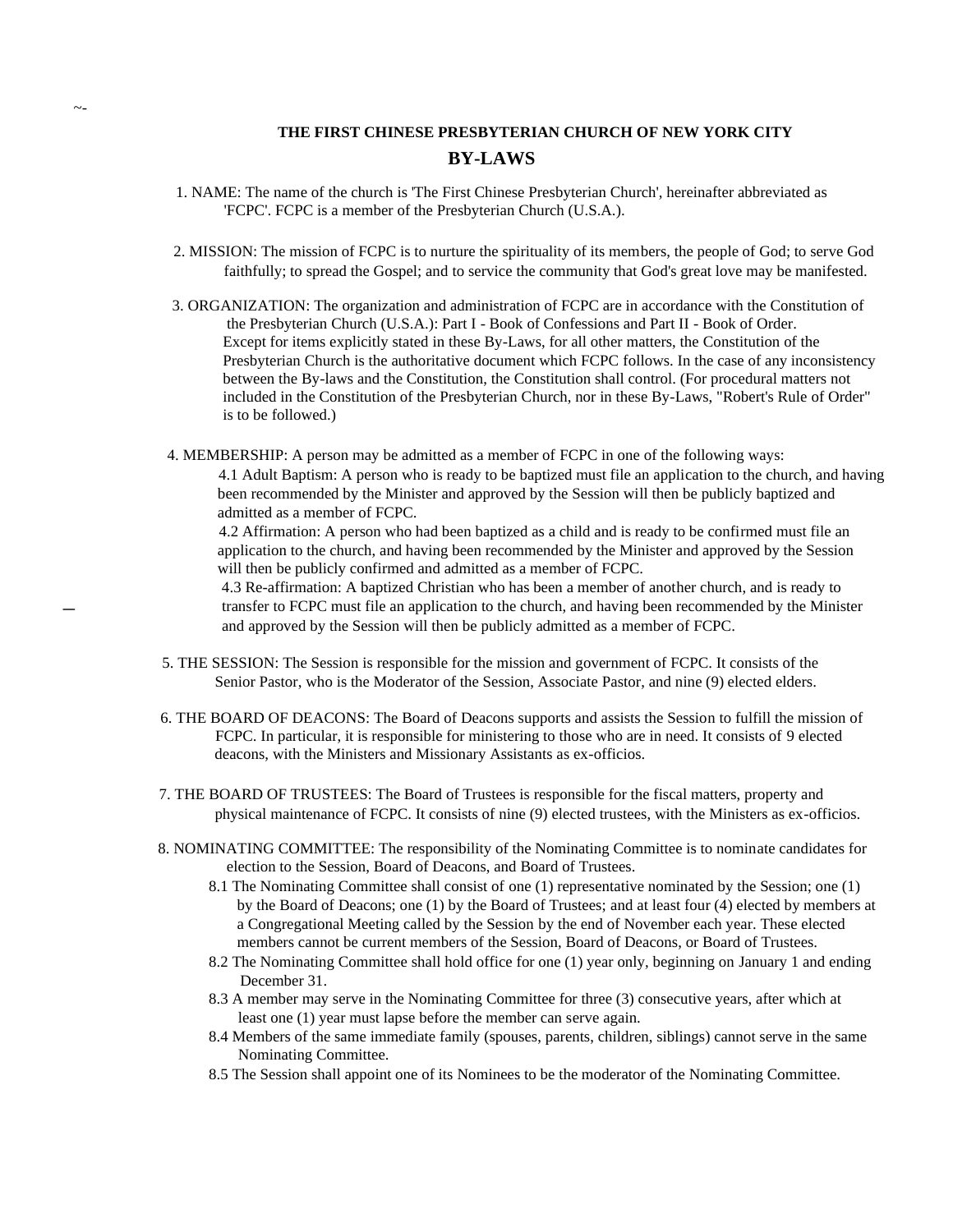## **THE FIRST CHINESE PRESBYTERIAN CHURCH OF NEW YORK CITY BY-LAWS**

- 1. NAME: The name of the church is 'The First Chinese Presbyterian Church', hereinafter abbreviated as 'FCPC'. FCPC is a member of the Presbyterian Church (U.S.A.).
- 2. MISSION: The mission of FCPC is to nurture the spirituality of its members, the people of God; to serve God faithfully; to spread the Gospel; and to service the community that God's great love may be manifested.
- 3. ORGANIZATION: The organization and administration of FCPC are in accordance with the Constitution of the Presbyterian Church (U.S.A.): Part I - Book of Confessions and Part II - Book of Order. Except for items explicitly stated in these By-Laws, for all other matters, the Constitution of the Presbyterian Church is the authoritative document which FCPC follows. In the case of any inconsistency between the By-laws and the Constitution, the Constitution shall control. (For procedural matters not included in the Constitution of the Presbyterian Church, nor in these By-Laws, "Robert's Rule of Order" is to be followed.)
- 4. MEMBERSHIP: A person may be admitted as a member of FCPC in one of the following ways: 4.1 Adult Baptism: A person who is ready to be baptized must file an application to the church, and having been recommended by the Minister and approved by the Session will then be publicly baptized and admitted as a member of FCPC.

 4.2 Affirmation: A person who had been baptized as a child and is ready to be confirmed must file an application to the church, and having been recommended by the Minister and approved by the Session will then be publicly confirmed and admitted as a member of FCPC.

 4.3 Re-affirmation: A baptized Christian who has been a member of another church, and is ready to transfer to FCPC must file an application to the church, and having been recommended by the Minister and approved by the Session will then be publicly admitted as a member of FCPC.

- 5. THE SESSION: The Session is responsible for the mission and government of FCPC. It consists of the Senior Pastor, who is the Moderator of the Session, Associate Pastor, and nine (9) elected elders.
- 6. THE BOARD OF DEACONS: The Board of Deacons supports and assists the Session to fulfill the mission of FCPC. In particular, it is responsible for ministering to those who are in need. It consists of 9 elected deacons, with the Ministers and Missionary Assistants as ex-officios.
- 7. THE BOARD OF TRUSTEES: The Board of Trustees is responsible for the fiscal matters, property and physical maintenance of FCPC. It consists of nine (9) elected trustees, with the Ministers as ex-officios.
- 8. NOMINATING COMMITTEE: The responsibility of the Nominating Committee is to nominate candidates for election to the Session, Board of Deacons, and Board of Trustees.
	- 8.1 The Nominating Committee shall consist of one (1) representative nominated by the Session; one (1) by the Board of Deacons; one (1) by the Board of Trustees; and at least four (4) elected by members at a Congregational Meeting called by the Session by the end of November each year. These elected members cannot be current members of the Session, Board of Deacons, or Board of Trustees.
	- 8.2 The Nominating Committee shall hold office for one (1) year only, beginning on January 1 and ending December 31.
	- 8.3 A member may serve in the Nominating Committee for three (3) consecutive years, after which at least one (1) year must lapse before the member can serve again.
	- 8.4 Members of the same immediate family (spouses, parents, children, siblings) cannot serve in the same Nominating Committee.
	- 8.5 The Session shall appoint one of its Nominees to be the moderator of the Nominating Committee.

 $\overline{\phantom{a}}$